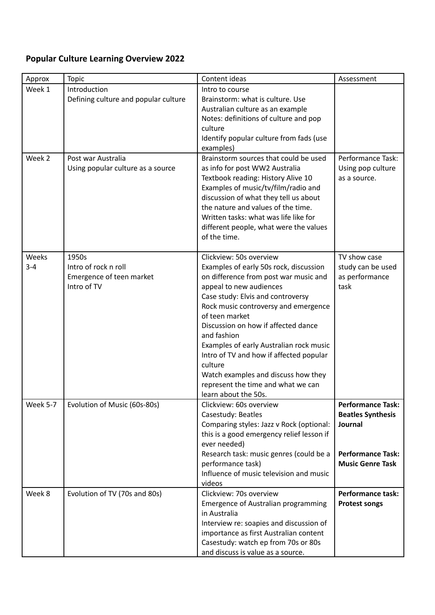## **Popular Culture Learning Overview 2022**

| Approx           | <b>Topic</b>                         | Content ideas                                                                | Assessment                                          |
|------------------|--------------------------------------|------------------------------------------------------------------------------|-----------------------------------------------------|
| Week 1           | Introduction                         | Intro to course                                                              |                                                     |
|                  | Defining culture and popular culture | Brainstorm: what is culture. Use                                             |                                                     |
|                  |                                      | Australian culture as an example                                             |                                                     |
|                  |                                      | Notes: definitions of culture and pop                                        |                                                     |
|                  |                                      | culture                                                                      |                                                     |
|                  |                                      | Identify popular culture from fads (use<br>examples)                         |                                                     |
| Week 2           | Post war Australia                   | Brainstorm sources that could be used                                        | Performance Task:                                   |
|                  | Using popular culture as a source    | as info for post WW2 Australia                                               | Using pop culture                                   |
|                  |                                      | Textbook reading: History Alive 10                                           | as a source.                                        |
|                  |                                      | Examples of music/tv/film/radio and<br>discussion of what they tell us about |                                                     |
|                  |                                      | the nature and values of the time.                                           |                                                     |
|                  |                                      | Written tasks: what was life like for                                        |                                                     |
|                  |                                      | different people, what were the values                                       |                                                     |
|                  |                                      | of the time.                                                                 |                                                     |
|                  |                                      |                                                                              |                                                     |
| Weeks<br>$3 - 4$ | 1950s<br>Intro of rock n roll        | Clickview: 50s overview<br>Examples of early 50s rock, discussion            | TV show case<br>study can be used                   |
|                  | Emergence of teen market             | on difference from post war music and                                        | as performance                                      |
|                  | Intro of TV                          | appeal to new audiences                                                      | task                                                |
|                  |                                      | Case study: Elvis and controversy                                            |                                                     |
|                  |                                      | Rock music controversy and emergence                                         |                                                     |
|                  |                                      | of teen market                                                               |                                                     |
|                  |                                      | Discussion on how if affected dance                                          |                                                     |
|                  |                                      | and fashion                                                                  |                                                     |
|                  |                                      | Examples of early Australian rock music                                      |                                                     |
|                  |                                      | Intro of TV and how if affected popular                                      |                                                     |
|                  |                                      | culture<br>Watch examples and discuss how they                               |                                                     |
|                  |                                      | represent the time and what we can                                           |                                                     |
|                  |                                      | learn about the 50s.                                                         |                                                     |
| <b>Week 5-7</b>  | Evolution of Music (60s-80s)         | Clickview: 60s overview                                                      | <b>Performance Task:</b>                            |
|                  |                                      | Casestudy: Beatles                                                           | <b>Beatles Synthesis</b>                            |
|                  |                                      | Comparing styles: Jazz v Rock (optional:                                     | Journal                                             |
|                  |                                      | this is a good emergency relief lesson if                                    |                                                     |
|                  |                                      | ever needed)                                                                 |                                                     |
|                  |                                      | Research task: music genres (could be a                                      | <b>Performance Task:</b><br><b>Music Genre Task</b> |
|                  |                                      | performance task)<br>Influence of music television and music                 |                                                     |
|                  |                                      | videos                                                                       |                                                     |
| Week 8           | Evolution of TV (70s and 80s)        | Clickview: 70s overview                                                      | <b>Performance task:</b>                            |
|                  |                                      | Emergence of Australian programming                                          | <b>Protest songs</b>                                |
|                  |                                      | in Australia                                                                 |                                                     |
|                  |                                      | Interview re: soapies and discussion of                                      |                                                     |
|                  |                                      | importance as first Australian content                                       |                                                     |
|                  |                                      | Casestudy: watch ep from 70s or 80s                                          |                                                     |
|                  |                                      | and discuss is value as a source.                                            |                                                     |